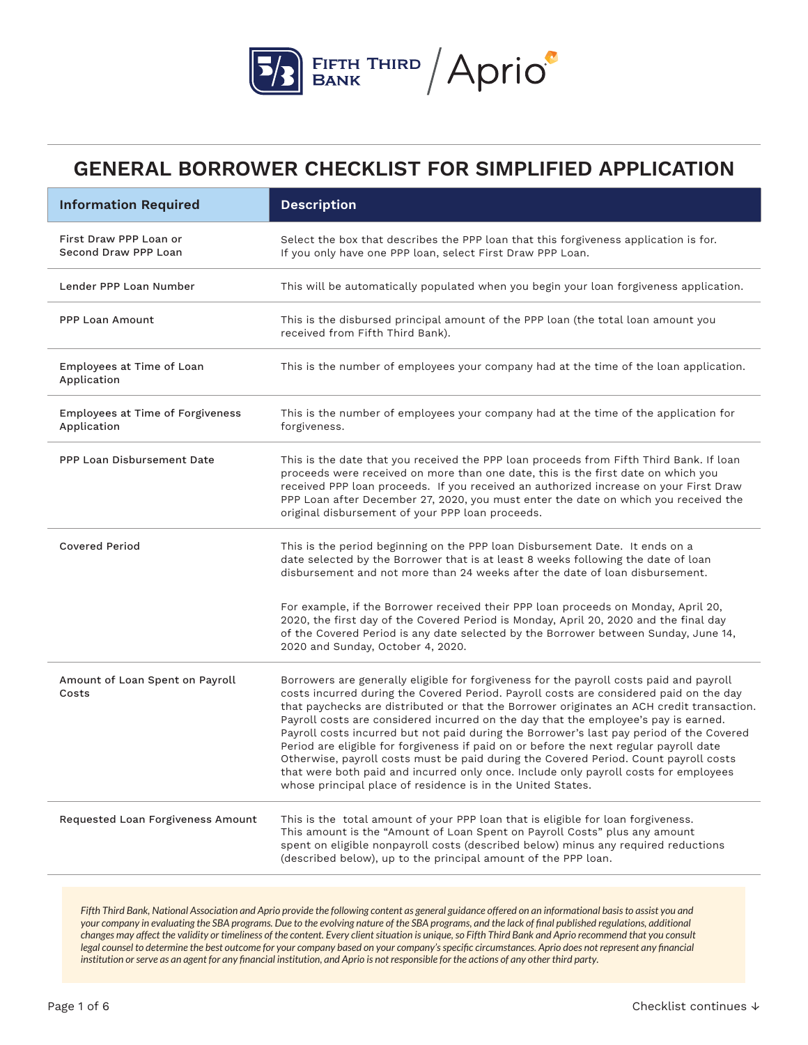

| <b>Information Required</b>                     | <b>Description</b>                                                                                                                                                                                                                                                                                                                                                                                                                                                                                                                                                                                                                                                                                                                                                                                         |  |
|-------------------------------------------------|------------------------------------------------------------------------------------------------------------------------------------------------------------------------------------------------------------------------------------------------------------------------------------------------------------------------------------------------------------------------------------------------------------------------------------------------------------------------------------------------------------------------------------------------------------------------------------------------------------------------------------------------------------------------------------------------------------------------------------------------------------------------------------------------------------|--|
| First Draw PPP Loan or<br>Second Draw PPP Loan  | Select the box that describes the PPP loan that this forgiveness application is for.<br>If you only have one PPP loan, select First Draw PPP Loan.                                                                                                                                                                                                                                                                                                                                                                                                                                                                                                                                                                                                                                                         |  |
| Lender PPP Loan Number                          | This will be automatically populated when you begin your loan forgiveness application.                                                                                                                                                                                                                                                                                                                                                                                                                                                                                                                                                                                                                                                                                                                     |  |
| <b>PPP Loan Amount</b>                          | This is the disbursed principal amount of the PPP loan (the total loan amount you<br>received from Fifth Third Bank).                                                                                                                                                                                                                                                                                                                                                                                                                                                                                                                                                                                                                                                                                      |  |
| Employees at Time of Loan<br>Application        | This is the number of employees your company had at the time of the loan application.                                                                                                                                                                                                                                                                                                                                                                                                                                                                                                                                                                                                                                                                                                                      |  |
| Employees at Time of Forgiveness<br>Application | This is the number of employees your company had at the time of the application for<br>forgiveness.                                                                                                                                                                                                                                                                                                                                                                                                                                                                                                                                                                                                                                                                                                        |  |
| PPP Loan Disbursement Date                      | This is the date that you received the PPP loan proceeds from Fifth Third Bank. If loan<br>proceeds were received on more than one date, this is the first date on which you<br>received PPP loan proceeds. If you received an authorized increase on your First Draw<br>PPP Loan after December 27, 2020, you must enter the date on which you received the<br>original disbursement of your PPP loan proceeds.                                                                                                                                                                                                                                                                                                                                                                                           |  |
| <b>Covered Period</b>                           | This is the period beginning on the PPP loan Disbursement Date. It ends on a<br>date selected by the Borrower that is at least 8 weeks following the date of loan<br>disbursement and not more than 24 weeks after the date of loan disbursement.                                                                                                                                                                                                                                                                                                                                                                                                                                                                                                                                                          |  |
|                                                 | For example, if the Borrower received their PPP loan proceeds on Monday, April 20,<br>2020, the first day of the Covered Period is Monday, April 20, 2020 and the final day<br>of the Covered Period is any date selected by the Borrower between Sunday, June 14,<br>2020 and Sunday, October 4, 2020.                                                                                                                                                                                                                                                                                                                                                                                                                                                                                                    |  |
| Amount of Loan Spent on Payroll<br>Costs        | Borrowers are generally eligible for forgiveness for the payroll costs paid and payroll<br>costs incurred during the Covered Period. Payroll costs are considered paid on the day<br>that paychecks are distributed or that the Borrower originates an ACH credit transaction.<br>Payroll costs are considered incurred on the day that the employee's pay is earned.<br>Payroll costs incurred but not paid during the Borrower's last pay period of the Covered<br>Period are eligible for forgiveness if paid on or before the next regular payroll date<br>Otherwise, payroll costs must be paid during the Covered Period. Count payroll costs<br>that were both paid and incurred only once. Include only payroll costs for employees<br>whose principal place of residence is in the United States. |  |
| Requested Loan Forgiveness Amount               | This is the total amount of your PPP loan that is eligible for loan forgiveness.<br>This amount is the "Amount of Loan Spent on Payroll Costs" plus any amount<br>spent on eligible nonpayroll costs (described below) minus any required reductions<br>(described below), up to the principal amount of the PPP loan.                                                                                                                                                                                                                                                                                                                                                                                                                                                                                     |  |

*Fifth Third Bank, National Association and Aprio provide the following content as general guidance offered on an informational basis to assist you and your company in evaluating the SBA programs. Due to the evolving nature of the SBA programs, and the lack of final published regulations, additional changes may affect the validity or timeliness of the content. Every client situation is unique, so Fifth Third Bank and Aprio recommend that you consult*  legal counsel to determine the best outcome for your company based on your company's specific circumstances. Aprio does not represent any financial *institution or serve as an agent for any financial institution, and Aprio is not responsible for the actions of any other third party.*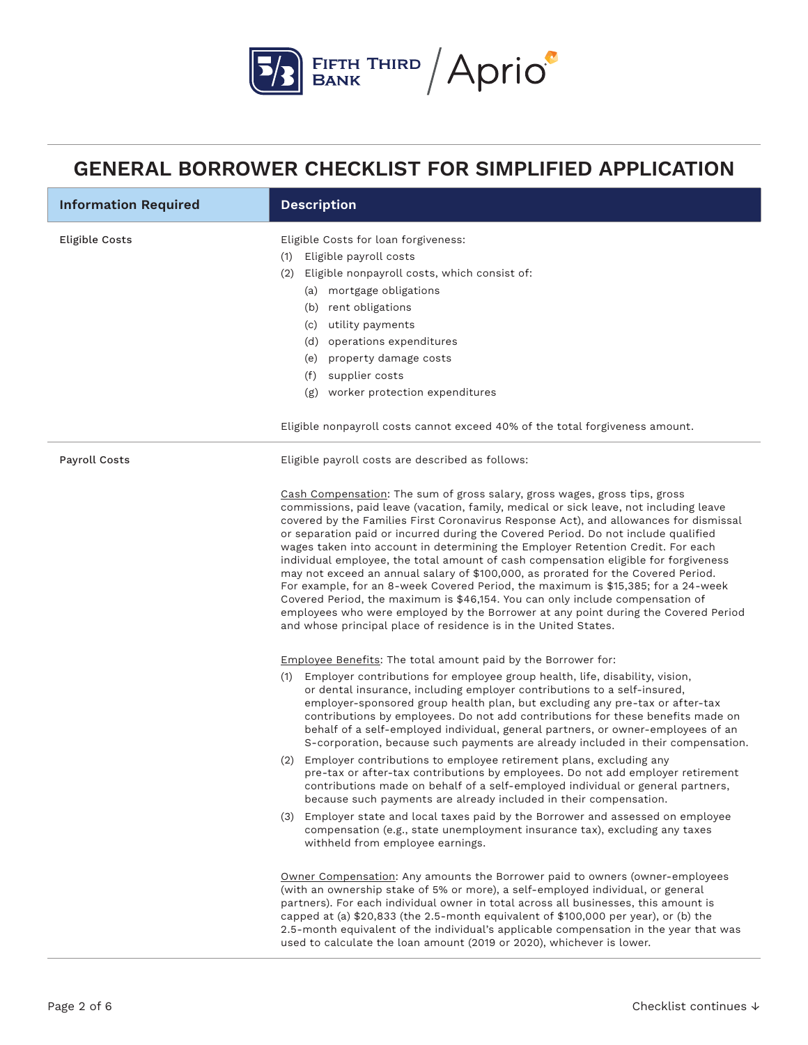

| <b>Information Required</b> | <b>Description</b>                                                                                                                                                                                                                                                                                                                                                                                                                                                                                                                                                                                                                                                                                                                                                                                                                                                                                                                               |
|-----------------------------|--------------------------------------------------------------------------------------------------------------------------------------------------------------------------------------------------------------------------------------------------------------------------------------------------------------------------------------------------------------------------------------------------------------------------------------------------------------------------------------------------------------------------------------------------------------------------------------------------------------------------------------------------------------------------------------------------------------------------------------------------------------------------------------------------------------------------------------------------------------------------------------------------------------------------------------------------|
| Eligible Costs              | Eligible Costs for loan forgiveness:<br>Eligible payroll costs<br>(1)<br>Eligible nonpayroll costs, which consist of:<br>(2)<br>(a) mortgage obligations<br>(b) rent obligations<br>(c) utility payments<br>(d) operations expenditures<br>(e) property damage costs<br>supplier costs<br>(f)<br>(g) worker protection expenditures<br>Eligible nonpayroll costs cannot exceed 40% of the total forgiveness amount.                                                                                                                                                                                                                                                                                                                                                                                                                                                                                                                              |
| Payroll Costs               | Eligible payroll costs are described as follows:                                                                                                                                                                                                                                                                                                                                                                                                                                                                                                                                                                                                                                                                                                                                                                                                                                                                                                 |
|                             | Cash Compensation: The sum of gross salary, gross wages, gross tips, gross<br>commissions, paid leave (vacation, family, medical or sick leave, not including leave<br>covered by the Families First Coronavirus Response Act), and allowances for dismissal<br>or separation paid or incurred during the Covered Period. Do not include qualified<br>wages taken into account in determining the Employer Retention Credit. For each<br>individual employee, the total amount of cash compensation eligible for forgiveness<br>may not exceed an annual salary of \$100,000, as prorated for the Covered Period.<br>For example, for an 8-week Covered Period, the maximum is \$15,385; for a 24-week<br>Covered Period, the maximum is \$46,154. You can only include compensation of<br>employees who were employed by the Borrower at any point during the Covered Period<br>and whose principal place of residence is in the United States. |
|                             | Employee Benefits: The total amount paid by the Borrower for:<br>Employer contributions for employee group health, life, disability, vision,<br>(1)<br>or dental insurance, including employer contributions to a self-insured,<br>employer-sponsored group health plan, but excluding any pre-tax or after-tax<br>contributions by employees. Do not add contributions for these benefits made on<br>behalf of a self-employed individual, general partners, or owner-employees of an<br>S-corporation, because such payments are already included in their compensation.                                                                                                                                                                                                                                                                                                                                                                       |
|                             | (2) Employer contributions to employee retirement plans, excluding any<br>pre-tax or after-tax contributions by employees. Do not add employer retirement<br>contributions made on behalf of a self-employed individual or general partners,<br>because such payments are already included in their compensation.                                                                                                                                                                                                                                                                                                                                                                                                                                                                                                                                                                                                                                |
|                             | (3) Employer state and local taxes paid by the Borrower and assessed on employee<br>compensation (e.g., state unemployment insurance tax), excluding any taxes<br>withheld from employee earnings.                                                                                                                                                                                                                                                                                                                                                                                                                                                                                                                                                                                                                                                                                                                                               |
|                             | Owner Compensation: Any amounts the Borrower paid to owners (owner-employees<br>(with an ownership stake of 5% or more), a self-employed individual, or general<br>partners). For each individual owner in total across all businesses, this amount is<br>capped at (a) \$20,833 (the 2.5-month equivalent of \$100,000 per year), or (b) the<br>2.5-month equivalent of the individual's applicable compensation in the year that was<br>used to calculate the loan amount (2019 or 2020), whichever is lower.                                                                                                                                                                                                                                                                                                                                                                                                                                  |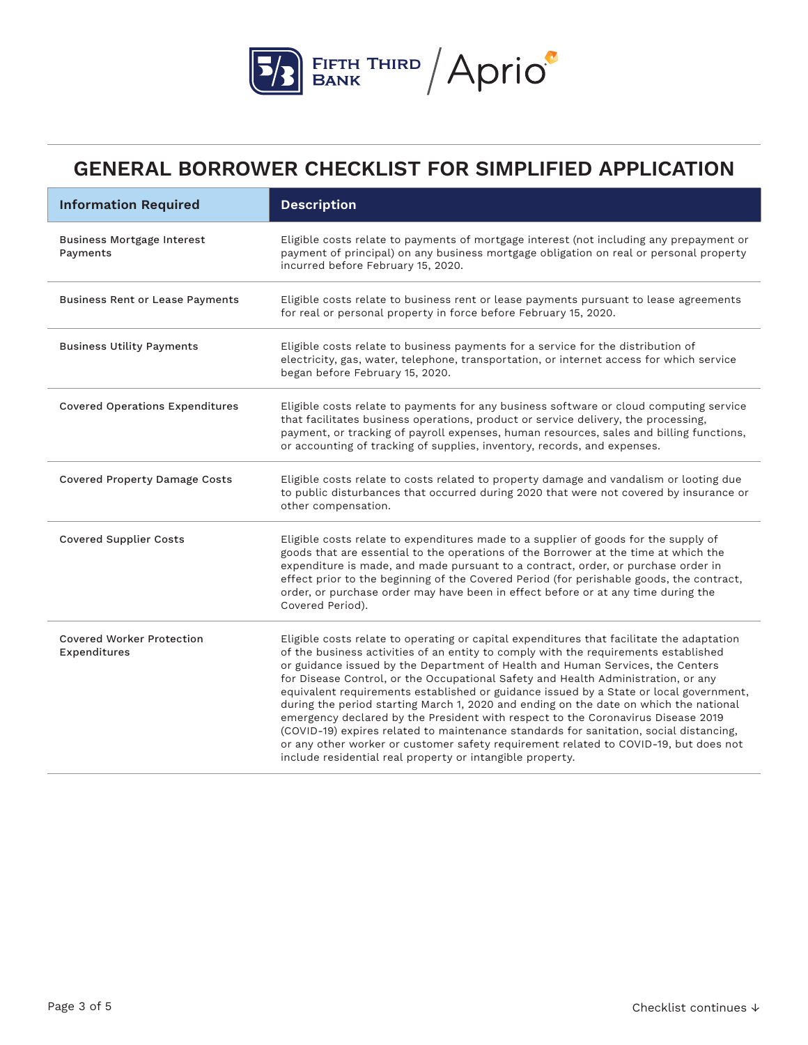

| <b>Information Required</b>                      | <b>Description</b>                                                                                                                                                                                                                                                                                                                                                                                                                                                                                                                                                                                                                                                                                                                                                                                                                                                            |  |
|--------------------------------------------------|-------------------------------------------------------------------------------------------------------------------------------------------------------------------------------------------------------------------------------------------------------------------------------------------------------------------------------------------------------------------------------------------------------------------------------------------------------------------------------------------------------------------------------------------------------------------------------------------------------------------------------------------------------------------------------------------------------------------------------------------------------------------------------------------------------------------------------------------------------------------------------|--|
| <b>Business Mortgage Interest</b><br>Payments    | Eligible costs relate to payments of mortgage interest (not including any prepayment or<br>payment of principal) on any business mortgage obligation on real or personal property<br>incurred before February 15, 2020.                                                                                                                                                                                                                                                                                                                                                                                                                                                                                                                                                                                                                                                       |  |
| <b>Business Rent or Lease Payments</b>           | Eligible costs relate to business rent or lease payments pursuant to lease agreements<br>for real or personal property in force before February 15, 2020.                                                                                                                                                                                                                                                                                                                                                                                                                                                                                                                                                                                                                                                                                                                     |  |
| <b>Business Utility Payments</b>                 | Eligible costs relate to business payments for a service for the distribution of<br>electricity, gas, water, telephone, transportation, or internet access for which service<br>began before February 15, 2020.                                                                                                                                                                                                                                                                                                                                                                                                                                                                                                                                                                                                                                                               |  |
| <b>Covered Operations Expenditures</b>           | Eligible costs relate to payments for any business software or cloud computing service<br>that facilitates business operations, product or service delivery, the processing,<br>payment, or tracking of payroll expenses, human resources, sales and billing functions,<br>or accounting of tracking of supplies, inventory, records, and expenses.                                                                                                                                                                                                                                                                                                                                                                                                                                                                                                                           |  |
| <b>Covered Property Damage Costs</b>             | Eligible costs relate to costs related to property damage and vandalism or looting due<br>to public disturbances that occurred during 2020 that were not covered by insurance or<br>other compensation.                                                                                                                                                                                                                                                                                                                                                                                                                                                                                                                                                                                                                                                                       |  |
| <b>Covered Supplier Costs</b>                    | Eligible costs relate to expenditures made to a supplier of goods for the supply of<br>goods that are essential to the operations of the Borrower at the time at which the<br>expenditure is made, and made pursuant to a contract, order, or purchase order in<br>effect prior to the beginning of the Covered Period (for perishable goods, the contract,<br>order, or purchase order may have been in effect before or at any time during the<br>Covered Period).                                                                                                                                                                                                                                                                                                                                                                                                          |  |
| <b>Covered Worker Protection</b><br>Expenditures | Eligible costs relate to operating or capital expenditures that facilitate the adaptation<br>of the business activities of an entity to comply with the requirements established<br>or guidance issued by the Department of Health and Human Services, the Centers<br>for Disease Control, or the Occupational Safety and Health Administration, or any<br>equivalent requirements established or guidance issued by a State or local government,<br>during the period starting March 1, 2020 and ending on the date on which the national<br>emergency declared by the President with respect to the Coronavirus Disease 2019<br>(COVID-19) expires related to maintenance standards for sanitation, social distancing,<br>or any other worker or customer safety requirement related to COVID-19, but does not<br>include residential real property or intangible property. |  |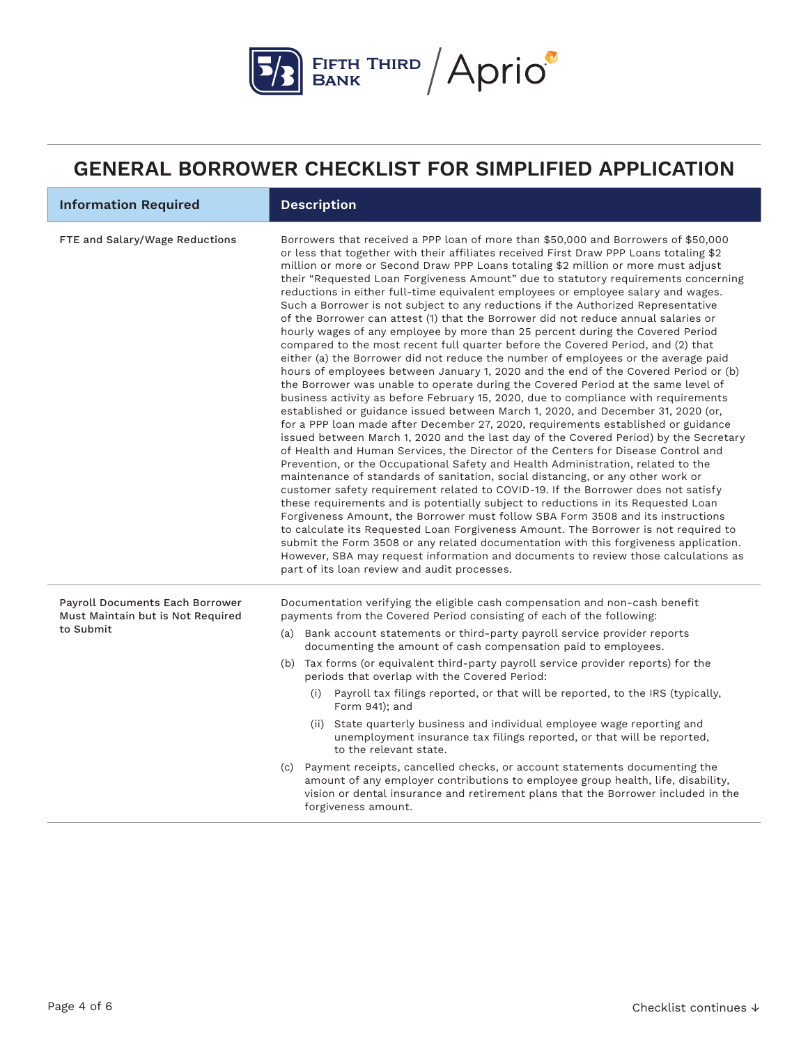

| <b>Information Required</b>                                                       | <b>Description</b>                                                                                                                                                                                                                                                                                                                                                                                                                                                                                                                                                                                                                                                                                                                                                                                                                                                                                                                                                                                                                                                                                                                                                                                                                                                                                                                                                                                                                                                                                                                                                                                                                                                                                                                                                                                                                                                                                                                                                                                                                                                                                                                                                                                                                                                    |  |
|-----------------------------------------------------------------------------------|-----------------------------------------------------------------------------------------------------------------------------------------------------------------------------------------------------------------------------------------------------------------------------------------------------------------------------------------------------------------------------------------------------------------------------------------------------------------------------------------------------------------------------------------------------------------------------------------------------------------------------------------------------------------------------------------------------------------------------------------------------------------------------------------------------------------------------------------------------------------------------------------------------------------------------------------------------------------------------------------------------------------------------------------------------------------------------------------------------------------------------------------------------------------------------------------------------------------------------------------------------------------------------------------------------------------------------------------------------------------------------------------------------------------------------------------------------------------------------------------------------------------------------------------------------------------------------------------------------------------------------------------------------------------------------------------------------------------------------------------------------------------------------------------------------------------------------------------------------------------------------------------------------------------------------------------------------------------------------------------------------------------------------------------------------------------------------------------------------------------------------------------------------------------------------------------------------------------------------------------------------------------------|--|
| FTE and Salary/Wage Reductions                                                    | Borrowers that received a PPP loan of more than \$50,000 and Borrowers of \$50,000<br>or less that together with their affiliates received First Draw PPP Loans totaling \$2<br>million or more or Second Draw PPP Loans totaling \$2 million or more must adjust<br>their "Requested Loan Forgiveness Amount" due to statutory requirements concerning<br>reductions in either full-time equivalent employees or employee salary and wages.<br>Such a Borrower is not subject to any reductions if the Authorized Representative<br>of the Borrower can attest (1) that the Borrower did not reduce annual salaries or<br>hourly wages of any employee by more than 25 percent during the Covered Period<br>compared to the most recent full quarter before the Covered Period, and (2) that<br>either (a) the Borrower did not reduce the number of employees or the average paid<br>hours of employees between January 1, 2020 and the end of the Covered Period or (b)<br>the Borrower was unable to operate during the Covered Period at the same level of<br>business activity as before February 15, 2020, due to compliance with requirements<br>established or guidance issued between March 1, 2020, and December 31, 2020 (or,<br>for a PPP loan made after December 27, 2020, requirements established or guidance<br>issued between March 1, 2020 and the last day of the Covered Period) by the Secretary<br>of Health and Human Services, the Director of the Centers for Disease Control and<br>Prevention, or the Occupational Safety and Health Administration, related to the<br>maintenance of standards of sanitation, social distancing, or any other work or<br>customer safety requirement related to COVID-19. If the Borrower does not satisfy<br>these requirements and is potentially subject to reductions in its Requested Loan<br>Forgiveness Amount, the Borrower must follow SBA Form 3508 and its instructions<br>to calculate its Requested Loan Forgiveness Amount. The Borrower is not required to<br>submit the Form 3508 or any related documentation with this forgiveness application.<br>However, SBA may request information and documents to review those calculations as<br>part of its loan review and audit processes. |  |
| Payroll Documents Each Borrower<br>Must Maintain but is Not Required<br>to Submit | Documentation verifying the eligible cash compensation and non-cash benefit<br>payments from the Covered Period consisting of each of the following:<br>(a) Bank account statements or third-party payroll service provider reports<br>documenting the amount of cash compensation paid to employees.<br>(b) Tax forms (or equivalent third-party payroll service provider reports) for the<br>periods that overlap with the Covered Period:<br>(i) Payroll tax filings reported, or that will be reported, to the IRS (typically,<br>Form 941); and<br>(ii) State quarterly business and individual employee wage reporting and<br>unemployment insurance tax filings reported, or that will be reported,<br>to the relevant state.<br>(c) Payment receipts, cancelled checks, or account statements documenting the<br>amount of any employer contributions to employee group health, life, disability,<br>vision or dental insurance and retirement plans that the Borrower included in the<br>forgiveness amount.                                                                                                                                                                                                                                                                                                                                                                                                                                                                                                                                                                                                                                                                                                                                                                                                                                                                                                                                                                                                                                                                                                                                                                                                                                                 |  |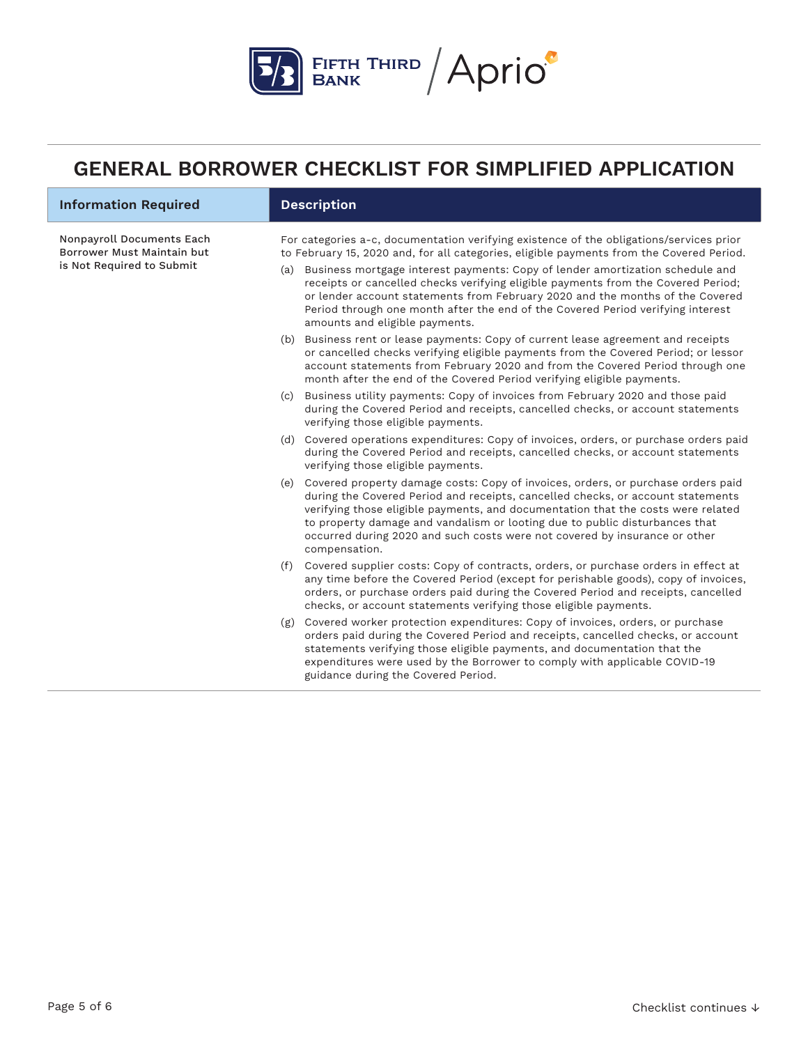

| <b>Information Required</b>                                                          |     | <b>Description</b>                                                                                                                                                                                                                                                                                                                                                                                                                                                                                                                                                  |
|--------------------------------------------------------------------------------------|-----|---------------------------------------------------------------------------------------------------------------------------------------------------------------------------------------------------------------------------------------------------------------------------------------------------------------------------------------------------------------------------------------------------------------------------------------------------------------------------------------------------------------------------------------------------------------------|
| Nonpayroll Documents Each<br>Borrower Must Maintain but<br>is Not Required to Submit |     | For categories a-c, documentation verifying existence of the obligations/services prior<br>to February 15, 2020 and, for all categories, eligible payments from the Covered Period.<br>(a) Business mortgage interest payments: Copy of lender amortization schedule and<br>receipts or cancelled checks verifying eligible payments from the Covered Period;<br>or lender account statements from February 2020 and the months of the Covered<br>Period through one month after the end of the Covered Period verifying interest<br>amounts and eligible payments. |
|                                                                                      |     | (b) Business rent or lease payments: Copy of current lease agreement and receipts<br>or cancelled checks verifying eligible payments from the Covered Period; or lessor<br>account statements from February 2020 and from the Covered Period through one<br>month after the end of the Covered Period verifying eligible payments.                                                                                                                                                                                                                                  |
|                                                                                      |     | (c) Business utility payments: Copy of invoices from February 2020 and those paid<br>during the Covered Period and receipts, cancelled checks, or account statements<br>verifying those eligible payments.                                                                                                                                                                                                                                                                                                                                                          |
|                                                                                      |     | (d) Covered operations expenditures: Copy of invoices, orders, or purchase orders paid<br>during the Covered Period and receipts, cancelled checks, or account statements<br>verifying those eligible payments.                                                                                                                                                                                                                                                                                                                                                     |
|                                                                                      |     | (e) Covered property damage costs: Copy of invoices, orders, or purchase orders paid<br>during the Covered Period and receipts, cancelled checks, or account statements<br>verifying those eligible payments, and documentation that the costs were related<br>to property damage and vandalism or looting due to public disturbances that<br>occurred during 2020 and such costs were not covered by insurance or other<br>compensation.                                                                                                                           |
|                                                                                      |     | (f) Covered supplier costs: Copy of contracts, orders, or purchase orders in effect at<br>any time before the Covered Period (except for perishable goods), copy of invoices,<br>orders, or purchase orders paid during the Covered Period and receipts, cancelled<br>checks, or account statements verifying those eligible payments.                                                                                                                                                                                                                              |
|                                                                                      | (g) | Covered worker protection expenditures: Copy of invoices, orders, or purchase<br>orders paid during the Covered Period and receipts, cancelled checks, or account<br>statements verifying those eligible payments, and documentation that the<br>expenditures were used by the Borrower to comply with applicable COVID-19<br>guidance during the Covered Period.                                                                                                                                                                                                   |